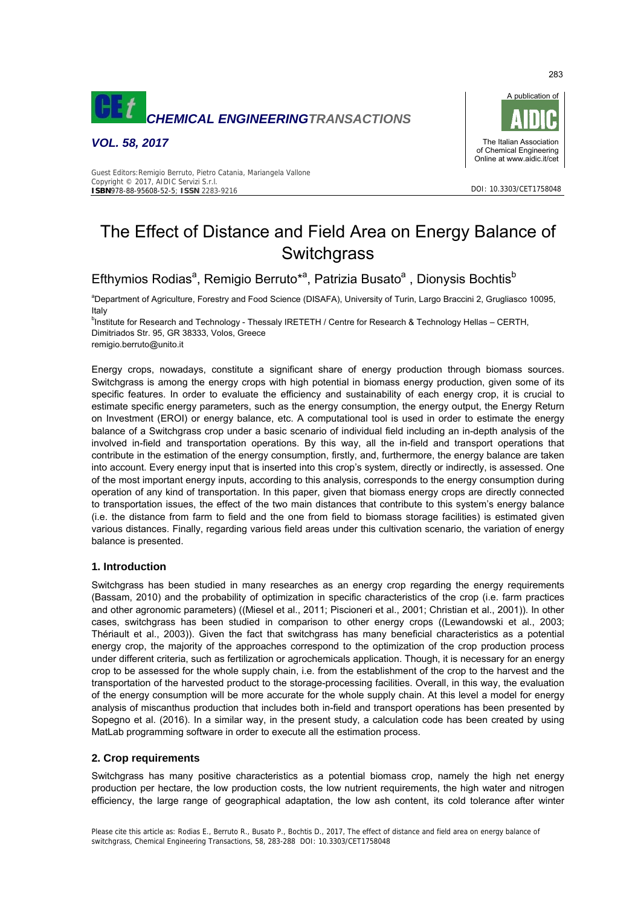

*VOL. 58, 2017* 



#### Guest Editors:Remigio Berruto, Pietro Catania, Mariangela Vallone Copyright © 2017, AIDIC Servizi S.r.l. **ISBN**978-88-95608-52-5; **ISSN** 2283-9216

# The Effect of Distance and Field Area on Energy Balance of **Switchgrass**

Efthymios Rodias<sup>a</sup>, Remigio Berruto\*<sup>a</sup>, Patrizia Busato<sup>a</sup>, Dionysis Bochtis<sup>b</sup>

a Department of Agriculture, Forestry and Food Science (DISAFA), University of Turin, Largo Braccini 2, Grugliasco 10095, Italy

<sup>b</sup>Institute for Research and Technology - Thessaly IRETETH / Centre for Research & Technology Hellas – CERTH, Dimitriados Str. 95, GR 38333, Volos, Greece

remigio.berruto@unito.it

Energy crops, nowadays, constitute a significant share of energy production through biomass sources. Switchgrass is among the energy crops with high potential in biomass energy production, given some of its specific features. In order to evaluate the efficiency and sustainability of each energy crop, it is crucial to estimate specific energy parameters, such as the energy consumption, the energy output, the Energy Return on Investment (EROI) or energy balance, etc. A computational tool is used in order to estimate the energy balance of a Switchgrass crop under a basic scenario of individual field including an in-depth analysis of the involved in-field and transportation operations. By this way, all the in-field and transport operations that contribute in the estimation of the energy consumption, firstly, and, furthermore, the energy balance are taken into account. Every energy input that is inserted into this crop's system, directly or indirectly, is assessed. One of the most important energy inputs, according to this analysis, corresponds to the energy consumption during operation of any kind of transportation. In this paper, given that biomass energy crops are directly connected to transportation issues, the effect of the two main distances that contribute to this system's energy balance (i.e. the distance from farm to field and the one from field to biomass storage facilities) is estimated given various distances. Finally, regarding various field areas under this cultivation scenario, the variation of energy balance is presented.

# **1. Introduction**

Switchgrass has been studied in many researches as an energy crop regarding the energy requirements (Bassam, 2010) and the probability of optimization in specific characteristics of the crop (i.e. farm practices and other agronomic parameters) ((Miesel et al., 2011; Piscioneri et al., 2001; Christian et al., 2001)). In other cases, switchgrass has been studied in comparison to other energy crops ((Lewandowski et al., 2003; Thériault et al., 2003)). Given the fact that switchgrass has many beneficial characteristics as a potential energy crop, the majority of the approaches correspond to the optimization of the crop production process under different criteria, such as fertilization or agrochemicals application. Though, it is necessary for an energy crop to be assessed for the whole supply chain, i.e. from the establishment of the crop to the harvest and the transportation of the harvested product to the storage-processing facilities. Overall, in this way, the evaluation of the energy consumption will be more accurate for the whole supply chain. At this level a model for energy analysis of miscanthus production that includes both in-field and transport operations has been presented by Sopegno et al. (2016). In a similar way, in the present study, a calculation code has been created by using MatLab programming software in order to execute all the estimation process.

# **2. Crop requirements**

Switchgrass has many positive characteristics as a potential biomass crop, namely the high net energy production per hectare, the low production costs, the low nutrient requirements, the high water and nitrogen efficiency, the large range of geographical adaptation, the low ash content, its cold tolerance after winter

283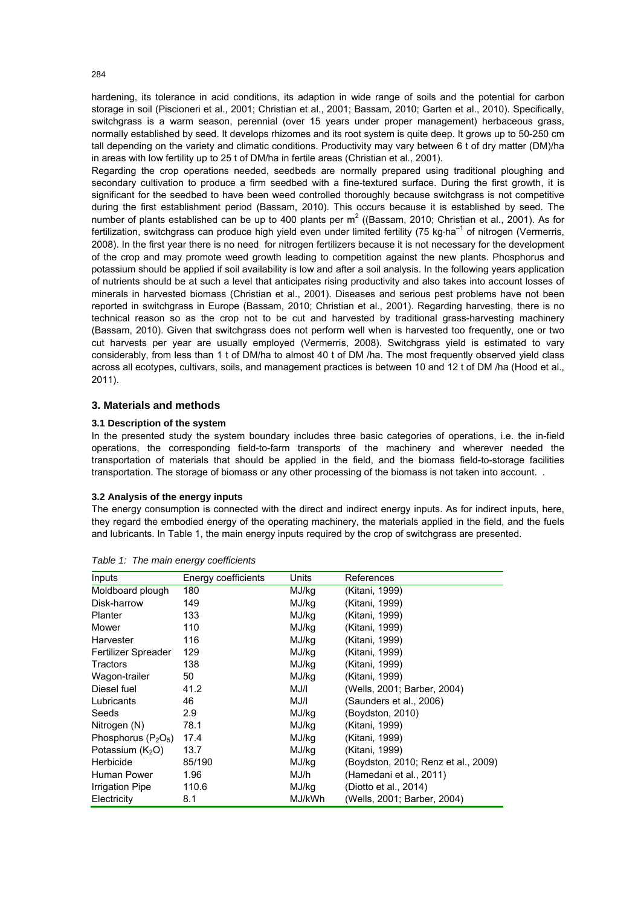hardening, its tolerance in acid conditions, its adaption in wide range of soils and the potential for carbon storage in soil (Piscioneri et al., 2001; Christian et al., 2001; Bassam, 2010; Garten et al., 2010). Specifically, switchgrass is a warm season, perennial (over 15 years under proper management) herbaceous grass, normally established by seed. It develops rhizomes and its root system is quite deep. It grows up to 50-250 cm tall depending on the variety and climatic conditions. Productivity may vary between 6 t of dry matter (DM)/ha in areas with low fertility up to 25 t of DM/ha in fertile areas (Christian et al., 2001).

Regarding the crop operations needed, seedbeds are normally prepared using traditional ploughing and secondary cultivation to produce a firm seedbed with a fine-textured surface. During the first growth, it is significant for the seedbed to have been weed controlled thoroughly because switchgrass is not competitive during the first establishment period (Bassam, 2010). This occurs because it is established by seed. The number of plants established can be up to 400 plants per m<sup>2</sup> ((Bassam, 2010; Christian et al., 2001). As for fertilization, switchgrass can produce high yield even under limited fertility (75 kg·ha<sup>-1</sup> of nitrogen (Vermerris, 2008). In the first year there is no need for nitrogen fertilizers because it is not necessary for the development of the crop and may promote weed growth leading to competition against the new plants. Phosphorus and potassium should be applied if soil availability is low and after a soil analysis. In the following years application of nutrients should be at such a level that anticipates rising productivity and also takes into account losses of minerals in harvested biomass (Christian et al., 2001). Diseases and serious pest problems have not been reported in switchgrass in Europe (Bassam, 2010; Christian et al., 2001). Regarding harvesting, there is no technical reason so as the crop not to be cut and harvested by traditional grass-harvesting machinery (Bassam, 2010). Given that switchgrass does not perform well when is harvested too frequently, one or two cut harvests per year are usually employed (Vermerris, 2008). Switchgrass yield is estimated to vary considerably, from less than 1 t of DM/ha to almost 40 t of DM /ha. The most frequently observed yield class across all ecotypes, cultivars, soils, and management practices is between 10 and 12 t of DM /ha (Hood et al., 2011).

# **3. Materials and methods**

## **3.1 Description of the system**

In the presented study the system boundary includes three basic categories of operations, i.e. the in-field operations, the corresponding field-to-farm transports of the machinery and wherever needed the transportation of materials that should be applied in the field, and the biomass field-to-storage facilities transportation. The storage of biomass or any other processing of the biomass is not taken into account. .

#### **3.2 Analysis of the energy inputs**

The energy consumption is connected with the direct and indirect energy inputs. As for indirect inputs, here, they regard the embodied energy of the operating machinery, the materials applied in the field, and the fuels and lubricants. In Table 1, the main energy inputs required by the crop of switchgrass are presented.

| Inputs                | Energy coefficients | Units  | References                          |
|-----------------------|---------------------|--------|-------------------------------------|
| Moldboard plough      | 180                 | MJ/kg  | (Kitani, 1999)                      |
| Disk-harrow           | 149                 | MJ/kg  | (Kitani, 1999)                      |
| Planter               | 133                 | MJ/kg  | (Kitani, 1999)                      |
| Mower                 | 110                 | MJ/kg  | (Kitani, 1999)                      |
| Harvester             | 116                 | MJ/kg  | (Kitani, 1999)                      |
| Fertilizer Spreader   | 129                 | MJ/kg  | (Kitani, 1999)                      |
| <b>Tractors</b>       | 138                 | MJ/kg  | (Kitani, 1999)                      |
| Wagon-trailer         | 50                  | MJ/kg  | (Kitani, 1999)                      |
| Diesel fuel           | 41.2                | MJ/I   | (Wells, 2001; Barber, 2004)         |
| Lubricants            | 46                  | MJ/I   | (Saunders et al., 2006)             |
| Seeds                 | 2.9                 | MJ/kg  | (Boydston, 2010)                    |
| Nitrogen (N)          | 78.1                | MJ/kg  | (Kitani, 1999)                      |
| Phosphorus $(P_2O_5)$ | 17.4                | MJ/kg  | (Kitani, 1999)                      |
| Potassium $(K_2O)$    | 13.7                | MJ/kg  | (Kitani, 1999)                      |
| Herbicide             | 85/190              | MJ/kg  | (Boydston, 2010; Renz et al., 2009) |
| Human Power           | 1.96                | MJ/h   | (Hamedani et al., 2011)             |
| Irrigation Pipe       | 110.6               | MJ/kg  | (Diotto et al., 2014)               |
| Electricity           | 8.1                 | MJ/kWh | (Wells, 2001; Barber, 2004)         |

*Table 1: The main energy coefficients* 

284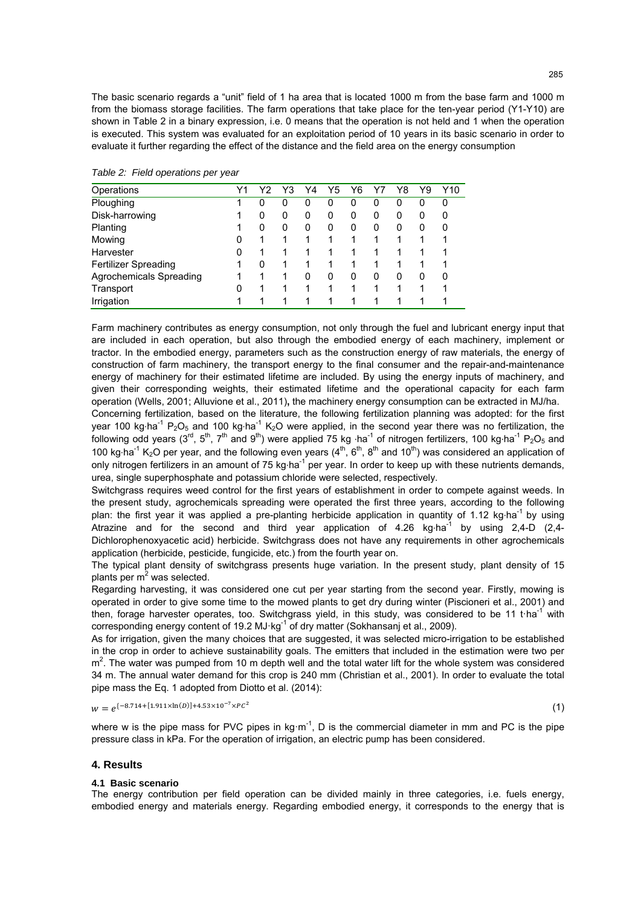The basic scenario regards a "unit" field of 1 ha area that is located 1000 m from the base farm and 1000 m from the biomass storage facilities. The farm operations that take place for the ten-year period (Y1-Y10) are shown in Table 2 in a binary expression, i.e. 0 means that the operation is not held and 1 when the operation is executed. This system was evaluated for an exploitation period of 10 years in its basic scenario in order to evaluate it further regarding the effect of the distance and the field area on the energy consumption

| Table 2: Field operations per year |  |
|------------------------------------|--|
|                                    |  |

| Operations              | Υ1 |   | Y3 | Y4 | Y5 | Y6 |   | Y8 | Υ9 | Y10 |
|-------------------------|----|---|----|----|----|----|---|----|----|-----|
| Ploughing               |    | 0 | 0  | 0  | 0  | 0  | 0 | 0  |    | 0   |
| Disk-harrowing          |    | 0 | 0  | 0  | 0  | 0  | 0 | 0  |    | 0   |
| Planting                |    | 0 | O  | 0  | 0  | 0  | 0 | 0  |    | 0   |
| Mowing                  | 0  | 1 |    |    |    |    |   |    |    |     |
| Harvester               | 0  |   |    |    |    |    |   |    |    |     |
| Fertilizer Spreading    |    | 0 |    |    |    |    |   |    |    |     |
| Agrochemicals Spreading |    | 1 |    | 0  | 0  | 0  | 0 | 0  |    | 0   |
| Transport               | 0  |   |    |    |    |    |   |    |    |     |
| Irrigation              |    | 1 |    |    |    |    |   |    |    |     |

Farm machinery contributes as energy consumption, not only through the fuel and lubricant energy input that are included in each operation, but also through the embodied energy of each machinery, implement or tractor. In the embodied energy, parameters such as the construction energy of raw materials, the energy of construction of farm machinery, the transport energy to the final consumer and the repair-and-maintenance energy of machinery for their estimated lifetime are included. By using the energy inputs of machinery, and given their corresponding weights, their estimated lifetime and the operational capacity for each farm operation (Wells, 2001; Alluvione et al., 2011)**,** the machinery energy consumption can be extracted in MJ/ha.

Concerning fertilization, based on the literature, the following fertilization planning was adopted: for the first year 100 kg·ha<sup>-1</sup> P<sub>2</sub>O<sub>5</sub> and 100 kg·ha<sup>-1</sup> K<sub>2</sub>O were applied, in the second year there was no fertilization, the following odd years (3<sup>rd</sup>, 5<sup>th</sup>, 7<sup>th</sup> and 9<sup>th</sup>) were applied 75 kg ·ha<sup>-1</sup> of nitrogen fertilizers, 100 kg·ha<sup>-1</sup> P<sub>2</sub>O<sub>5</sub> and 100 kg·ha<sup>-1</sup> K<sub>2</sub>O per year, and the following even years  $(4^{th}, 6^{th}, 8^{th}$  and  $10^{th}$ ) was considered an application of only nitrogen fertilizers in an amount of 75 kg·ha<sup>-1</sup> per year. In order to keep up with these nutrients demands, urea, single superphosphate and potassium chloride were selected, respectively.

Switchgrass requires weed control for the first years of establishment in order to compete against weeds. In the present study, agrochemicals spreading were operated the first three years, according to the following plan: the first year it was applied a pre-planting herbicide application in quantity of 1.12 kg ha<sup>-1</sup> by using Atrazine and for the second and third year application of  $4.26 \text{ kg} \cdot \text{ha}^{-1}$  by using 2,4-D (2,4-Dichlorophenoxyacetic acid) herbicide. Switchgrass does not have any requirements in other agrochemicals application (herbicide, pesticide, fungicide, etc.) from the fourth year on.

The typical plant density of switchgrass presents huge variation. In the present study, plant density of 15 plants per m<sup>2</sup> was selected.

Regarding harvesting, it was considered one cut per year starting from the second year. Firstly, mowing is operated in order to give some time to the mowed plants to get dry during winter (Piscioneri et al., 2001) and then, forage harvester operates, too. Switchgrass yield, in this study, was considered to be 11 t·ha<sup>-1</sup> with corresponding energy content of 19.2 MJ·kg<sup>-1</sup> of dry matter (Sokhansanj et al., 2009).

As for irrigation, given the many choices that are suggested, it was selected micro-irrigation to be established in the crop in order to achieve sustainability goals. The emitters that included in the estimation were two per  $m<sup>2</sup>$ . The water was pumped from 10 m depth well and the total water lift for the whole system was considered 34 m. The annual water demand for this crop is 240 mm (Christian et al., 2001). In order to evaluate the total pipe mass the Eq. 1 adopted from Diotto et al. (2014):

 $w = e^{\{-8.714 + [1.911 \times \ln(D)] + 4.53 \times 10^{-7} \times PC^2\}}$  (1)

where w is the pipe mass for PVC pipes in kg·m<sup>-1</sup>, D is the commercial diameter in mm and PC is the pipe pressure class in kPa. For the operation of irrigation, an electric pump has been considered.

## **4. Results**

# **4.1 Basic scenario**

The energy contribution per field operation can be divided mainly in three categories, i.e. fuels energy, embodied energy and materials energy. Regarding embodied energy, it corresponds to the energy that is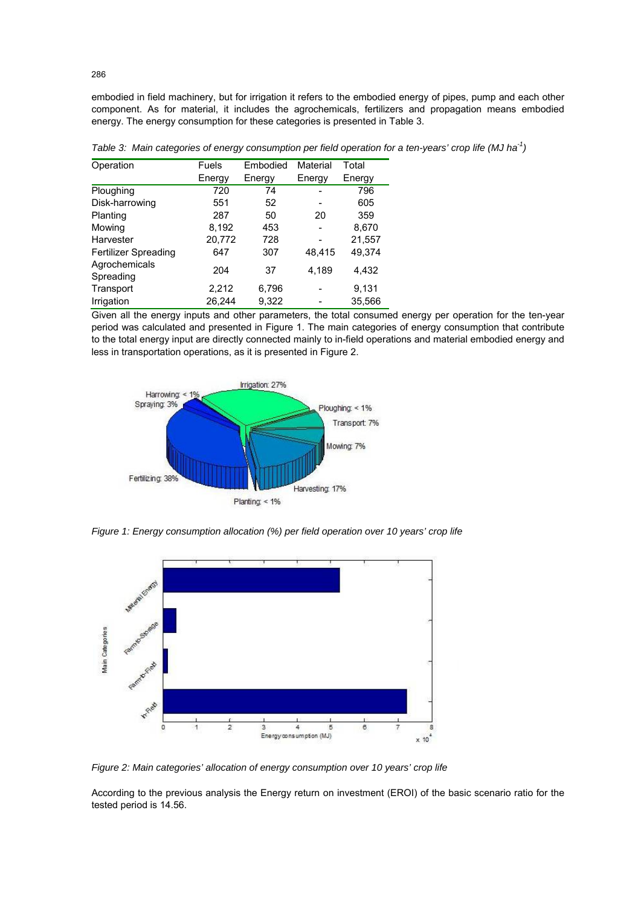embodied in field machinery, but for irrigation it refers to the embodied energy of pipes, pump and each other component. As for material, it includes the agrochemicals, fertilizers and propagation means embodied energy. The energy consumption for these categories is presented in Table 3.

| Operation                   | <b>Fuels</b> | Embodied | Material | Total  |  |
|-----------------------------|--------------|----------|----------|--------|--|
|                             | Energy       | Energy   | Energy   | Energy |  |
| Ploughing                   | 720          | 74       |          | 796    |  |
| Disk-harrowing              | 551          | 52       |          | 605    |  |
| Planting                    | 287          | 50       | 20       | 359    |  |
| Mowing                      | 8,192        | 453      |          | 8,670  |  |
| Harvester                   | 20,772       | 728      |          | 21,557 |  |
| <b>Fertilizer Spreading</b> | 647          | 307      | 48,415   | 49,374 |  |
| Agrochemicals<br>Spreading  | 204          | 37       | 4,189    | 4,432  |  |
| Transport                   | 2,212        | 6,796    |          | 9,131  |  |
| Irrigation                  | 26,244       | 9,322    |          | 35,566 |  |

*Table 3: Main categories of energy consumption per field operation for a ten-years' crop life (MJ ha<sup>-1</sup>)* 

Given all the energy inputs and other parameters, the total consumed energy per operation for the ten-year period was calculated and presented in Figure 1. The main categories of energy consumption that contribute to the total energy input are directly connected mainly to in-field operations and material embodied energy and less in transportation operations, as it is presented in Figure 2.



*Figure 1: Energy consumption allocation (%) per field operation over 10 years' crop life* 



*Figure 2: Main categories' allocation of energy consumption over 10 years' crop life* 

According to the previous analysis the Energy return on investment (EROI) of the basic scenario ratio for the tested period is 14.56.

286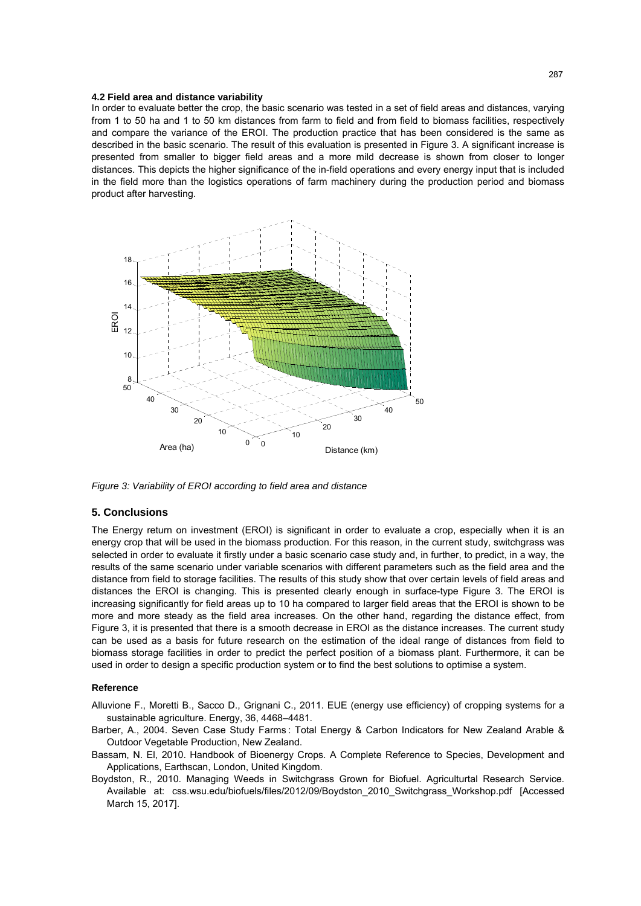#### **4.2 Field area and distance variability**

In order to evaluate better the crop, the basic scenario was tested in a set of field areas and distances, varying from 1 to 50 ha and 1 to 50 km distances from farm to field and from field to biomass facilities, respectively and compare the variance of the EROI. The production practice that has been considered is the same as described in the basic scenario. The result of this evaluation is presented in Figure 3. A significant increase is presented from smaller to bigger field areas and a more mild decrease is shown from closer to longer distances. This depicts the higher significance of the in-field operations and every energy input that is included in the field more than the logistics operations of farm machinery during the production period and biomass product after harvesting.



*Figure 3: Variability of EROI according to field area and distance* 

## **5. Conclusions**

The Energy return on investment (EROI) is significant in order to evaluate a crop, especially when it is an energy crop that will be used in the biomass production. For this reason, in the current study, switchgrass was selected in order to evaluate it firstly under a basic scenario case study and, in further, to predict, in a way, the results of the same scenario under variable scenarios with different parameters such as the field area and the distance from field to storage facilities. The results of this study show that over certain levels of field areas and distances the EROI is changing. This is presented clearly enough in surface-type Figure 3. The EROI is increasing significantly for field areas up to 10 ha compared to larger field areas that the EROI is shown to be more and more steady as the field area increases. On the other hand, regarding the distance effect, from Figure 3, it is presented that there is a smooth decrease in EROI as the distance increases. The current study can be used as a basis for future research on the estimation of the ideal range of distances from field to biomass storage facilities in order to predict the perfect position of a biomass plant. Furthermore, it can be used in order to design a specific production system or to find the best solutions to optimise a system.

### **Reference**

Alluvione F., Moretti B., Sacco D., Grignani C., 2011. EUE (energy use efficiency) of cropping systems for a sustainable agriculture. Energy, 36, 4468–4481.

- Barber, A., 2004. Seven Case Study Farms : Total Energy & Carbon Indicators for New Zealand Arable & Outdoor Vegetable Production, New Zealand.
- Bassam, N. El, 2010. Handbook of Bioenergy Crops. A Complete Reference to Species, Development and Applications, Earthscan, London, United Kingdom.
- Boydston, R., 2010. Managing Weeds in Switchgrass Grown for Biofuel. Agriculturtal Research Service. Available at: css.wsu.edu/biofuels/files/2012/09/Boydston\_2010\_Switchgrass\_Workshop.pdf [Accessed March 15, 2017].